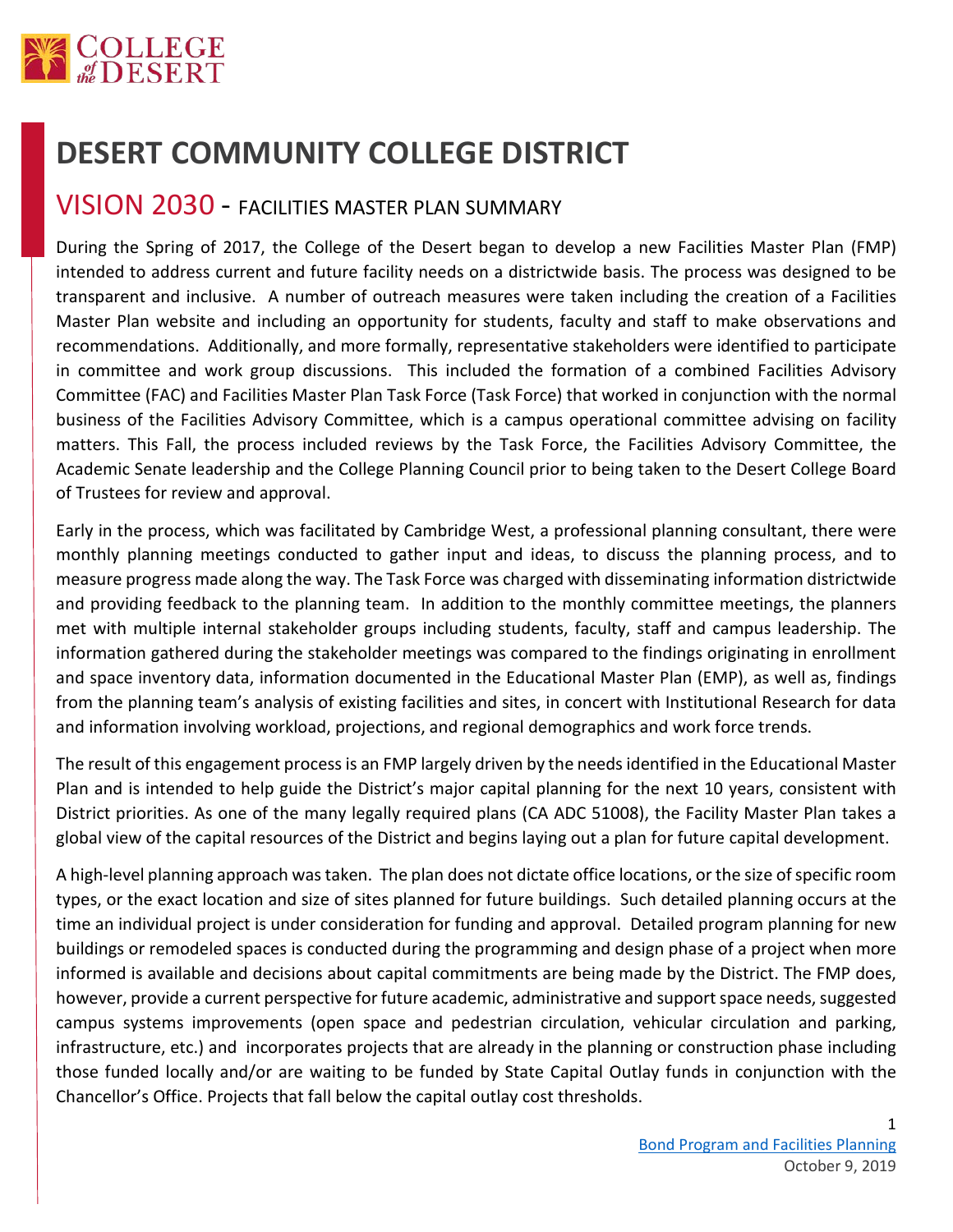

## **DESERT COMMUNITY COLLEGE DISTRICT**

## VISION 2030 - FACILITIES MASTER PLAN SUMMARY

During the Spring of 2017, the College of the Desert began to develop a new Facilities Master Plan (FMP) intended to address current and future facility needs on a districtwide basis. The process was designed to be transparent and inclusive. A number of outreach measures were taken including the creation of a Facilities Master Plan website and including an opportunity for students, faculty and staff to make observations and recommendations. Additionally, and more formally, representative stakeholders were identified to participate in committee and work group discussions. This included the formation of a combined Facilities Advisory Committee (FAC) and Facilities Master Plan Task Force (Task Force) that worked in conjunction with the normal business of the Facilities Advisory Committee, which is a campus operational committee advising on facility matters. This Fall, the process included reviews by the Task Force, the Facilities Advisory Committee, the Academic Senate leadership and the College Planning Council prior to being taken to the Desert College Board of Trustees for review and approval.

Early in the process, which was facilitated by Cambridge West, a professional planning consultant, there were monthly planning meetings conducted to gather input and ideas, to discuss the planning process, and to measure progress made along the way. The Task Force was charged with disseminating information districtwide and providing feedback to the planning team. In addition to the monthly committee meetings, the planners met with multiple internal stakeholder groups including students, faculty, staff and campus leadership. The information gathered during the stakeholder meetings was compared to the findings originating in enrollment and space inventory data, information documented in the Educational Master Plan (EMP), as well as, findings from the planning team's analysis of existing facilities and sites, in concert with Institutional Research for data and information involving workload, projections, and regional demographics and work force trends.

The result of this engagement process is an FMP largely driven by the needs identified in the Educational Master Plan and is intended to help guide the District's major capital planning for the next 10 years, consistent with District priorities. As one of the many legally required plans (CA ADC 51008), the Facility Master Plan takes a global view of the capital resources of the District and begins laying out a plan for future capital development.

A high-level planning approach was taken. The plan does not dictate office locations, or the size of specific room types, or the exact location and size of sites planned for future buildings. Such detailed planning occurs at the time an individual project is under consideration for funding and approval. Detailed program planning for new buildings or remodeled spaces is conducted during the programming and design phase of a project when more informed is available and decisions about capital commitments are being made by the District. The FMP does, however, provide a current perspective for future academic, administrative and support space needs, suggested campus systems improvements (open space and pedestrian circulation, vehicular circulation and parking, infrastructure, etc.) and incorporates projects that are already in the planning or construction phase including those funded locally and/or are waiting to be funded by State Capital Outlay funds in conjunction with the Chancellor's Office. Projects that fall below the capital outlay cost thresholds.

1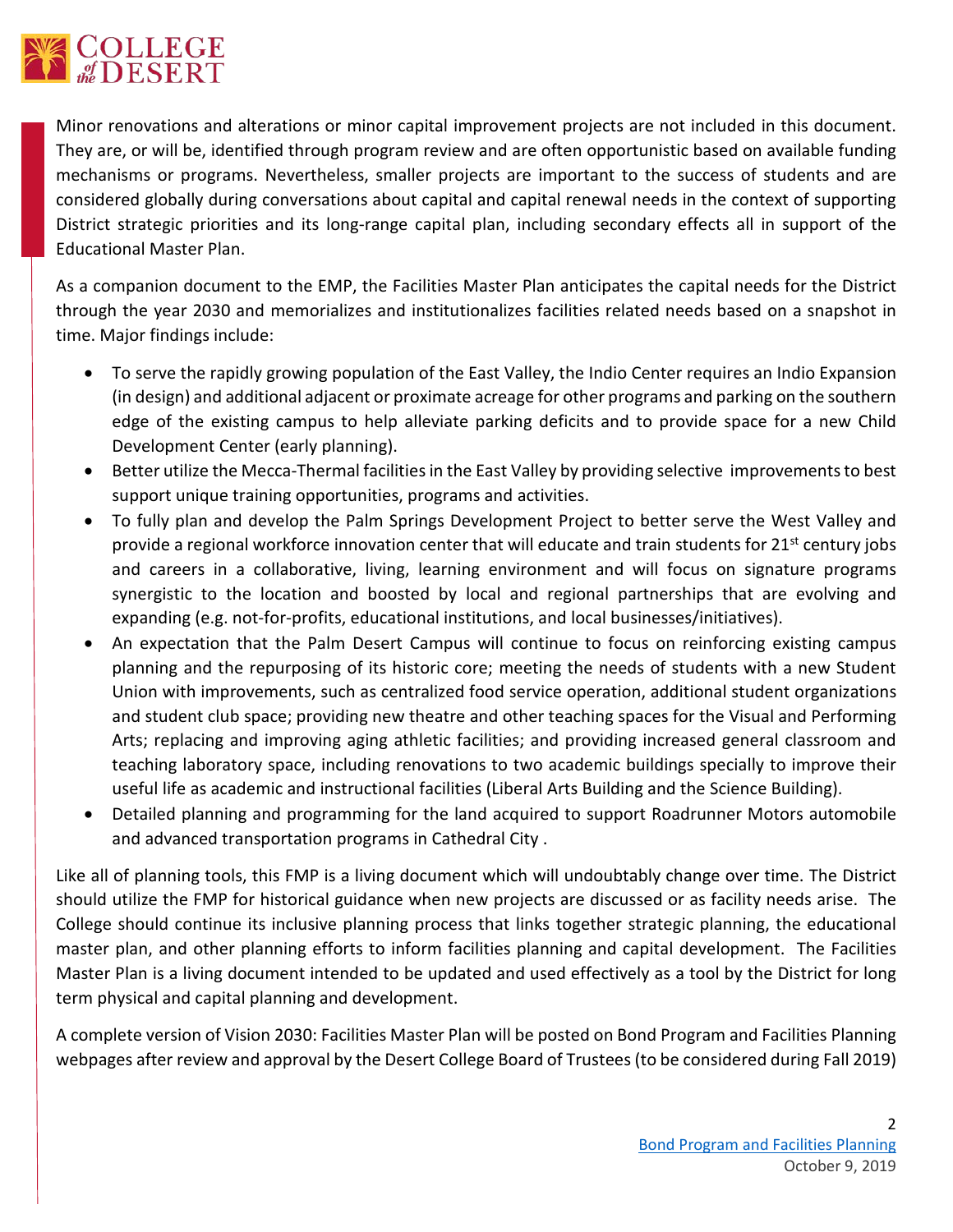

Minor renovations and alterations or minor capital improvement projects are not included in this document. They are, or will be, identified through program review and are often opportunistic based on available funding mechanisms or programs. Nevertheless, smaller projects are important to the success of students and are considered globally during conversations about capital and capital renewal needs in the context of supporting District strategic priorities and its long-range capital plan, including secondary effects all in support of the Educational Master Plan.

As a companion document to the EMP, the Facilities Master Plan anticipates the capital needs for the District through the year 2030 and memorializes and institutionalizes facilities related needs based on a snapshot in time. Major findings include:

- To serve the rapidly growing population of the East Valley, the Indio Center requires an Indio Expansion (in design) and additional adjacent or proximate acreage for other programs and parking on the southern edge of the existing campus to help alleviate parking deficits and to provide space for a new Child Development Center (early planning).
- Better utilize the Mecca-Thermal facilities in the East Valley by providing selective improvements to best support unique training opportunities, programs and activities.
- To fully plan and develop the Palm Springs Development Project to better serve the West Valley and provide a regional workforce innovation center that will educate and train students for 21<sup>st</sup> century jobs and careers in a collaborative, living, learning environment and will focus on signature programs synergistic to the location and boosted by local and regional partnerships that are evolving and expanding (e.g. not-for-profits, educational institutions, and local businesses/initiatives).
- An expectation that the Palm Desert Campus will continue to focus on reinforcing existing campus planning and the repurposing of its historic core; meeting the needs of students with a new Student Union with improvements, such as centralized food service operation, additional student organizations and student club space; providing new theatre and other teaching spaces for the Visual and Performing Arts; replacing and improving aging athletic facilities; and providing increased general classroom and teaching laboratory space, including renovations to two academic buildings specially to improve their useful life as academic and instructional facilities (Liberal Arts Building and the Science Building).
- Detailed planning and programming for the land acquired to support Roadrunner Motors automobile and advanced transportation programs in Cathedral City .

Like all of planning tools, this FMP is a living document which will undoubtably change over time. The District should utilize the FMP for historical guidance when new projects are discussed or as facility needs arise. The College should continue its inclusive planning process that links together strategic planning, the educational master plan, and other planning efforts to inform facilities planning and capital development. The Facilities Master Plan is a living document intended to be updated and used effectively as a tool by the District for long term physical and capital planning and development.

A complete version of Vision 2030: Facilities Master Plan will be posted on Bond Program and Facilities Planning webpages after review and approval by the Desert College Board of Trustees (to be considered during Fall 2019)